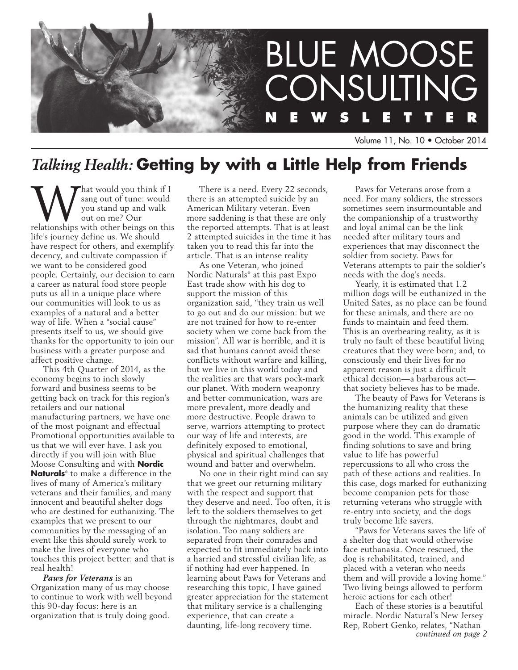

Volume 11, No. 10 • October 2014

# *Talking Health:* **Getting by with a Little Help from Friends**

**W**<br>
sang out of tune: would<br>
you stand up and walk<br>
out on me? Our<br>
relationships with other beings on this sang out of tune: would you stand up and walk out on me? Our life's journey define us. We should have respect for others, and exemplify decency, and cultivate compassion if we want to be considered good people. Certainly, our decision to earn a career as natural food store people puts us all in a unique place where our communities will look to us as examples of a natural and a better way of life. When a "social cause" presents itself to us, we should give thanks for the opportunity to join our business with a greater purpose and affect positive change.

This 4th Quarter of 2014, as the economy begins to inch slowly forward and business seems to be getting back on track for this region's retailers and our national manufacturing partners, we have one of the most poignant and effectual Promotional opportunities available to us that we will ever have. I ask you directly if you will join with Blue Moose Consulting and with **Nordic Naturals**® to make a difference in the lives of many of America's military veterans and their families, and many innocent and beautiful shelter dogs who are destined for euthanizing. The examples that we present to our communities by the messaging of an event like this should surely work to make the lives of everyone who touches this project better: and that is real health!

*Paws for Veterans* is an Organization many of us may choose to continue to work with well beyond this 90-day focus: here is an organization that is truly doing good.

There is a need. Every 22 seconds, there is an attempted suicide by an American Military veteran. Even more saddening is that these are only the reported attempts. That is at least 2 attempted suicides in the time it has taken you to read this far into the article. That is an intense reality

As one Veteran, who joined Nordic Naturals® at this past Expo East trade show with his dog to support the mission of this organization said, "they train us well to go out and do our mission: but we are not trained for how to re-enter society when we come back from the mission". All war is horrible, and it is sad that humans cannot avoid these conflicts without warfare and killing, but we live in this world today and the realities are that wars pock-mark our planet. With modern weaponry and better communication, wars are more prevalent, more deadly and more destructive. People drawn to serve, warriors attempting to protect our way of life and interests, are definitely exposed to emotional, physical and spiritual challenges that wound and batter and overwhelm.

No one in their right mind can say that we greet our returning military with the respect and support that they deserve and need. Too often, it is left to the soldiers themselves to get through the nightmares, doubt and isolation. Too many soldiers are separated from their comrades and expected to fit immediately back into a harried and stressful civilian life, as if nothing had ever happened. In learning about Paws for Veterans and researching this topic, I have gained greater appreciation for the statement that military service is a challenging experience, that can create a daunting, life-long recovery time.

Paws for Veterans arose from a need. For many soldiers, the stressors sometimes seem insurmountable and the companionship of a trustworthy and loyal animal can be the link needed after military tours and experiences that may disconnect the soldier from society. Paws for Veterans attempts to pair the soldier's needs with the dog's needs.

Yearly, it is estimated that 1.2 million dogs will be euthanized in the United Sates, as no place can be found for these animals, and there are no funds to maintain and feed them. This is an overbearing reality, as it is truly no fault of these beautiful living creatures that they were born; and, to consciously end their lives for no apparent reason is just a difficult ethical decision—a barbarous act that society believes has to be made.

The beauty of Paws for Veterans is the humanizing reality that these animals can be utilized and given purpose where they can do dramatic good in the world. This example of finding solutions to save and bring value to life has powerful repercussions to all who cross the path of these actions and realities. In this case, dogs marked for euthanizing become companion pets for those returning veterans who struggle with re-entry into society, and the dogs truly become life savers.

"Paws for Veterans saves the life of a shelter dog that would otherwise face euthanasia. Once rescued, the dog is rehabilitated, trained, and placed with a veteran who needs them and will provide a loving home." Two living beings allowed to perform heroic actions for each other!

Each of these stories is a beautiful miracle. Nordic Natural's New Jersey Rep, Robert Genko, relates, "Nathan *continued on page 2*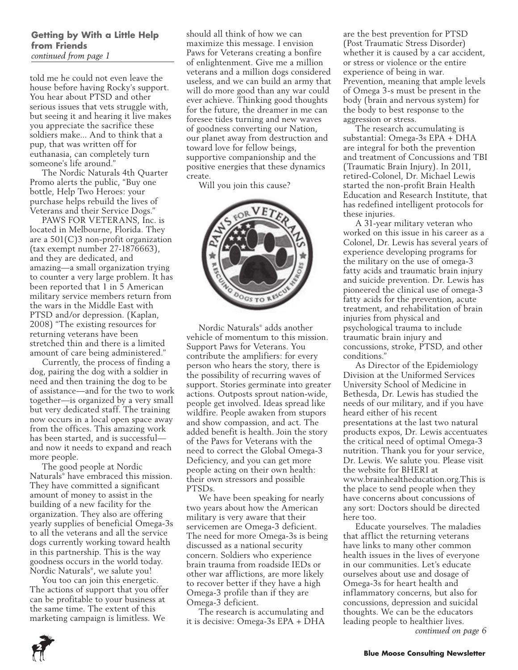## **Getting by With a Little Help from Friends** *continued from page 1*

told me he could not even leave the house before having Rocky's support. You hear about PTSD and other serious issues that vets struggle with, but seeing it and hearing it live makes you appreciate the sacrifice these soldiers make... And to think that a pup, that was written off for euthanasia, can completely turn someone's life around."

The Nordic Naturals 4th Quarter Promo alerts the public, "Buy one bottle, Help Two Heroes: your purchase helps rebuild the lives of Veterans and their Service Dogs."

PAWS FOR VETERANS, Inc. is located in Melbourne, Florida. They are a 501(C)3 non-profit organization (tax exempt number 27-1876663), and they are dedicated, and amazing—a small organization trying to counter a very large problem. It has been reported that 1 in 5 American military service members return from the wars in the Middle East with PTSD and/or depression. (Kaplan, 2008) "The existing resources for returning veterans have been stretched thin and there is a limited amount of care being administered."

Currently, the process of finding a dog, pairing the dog with a soldier in need and then training the dog to be of assistance—and for the two to work together—is organized by a very small but very dedicated staff. The training now occurs in a local open space away from the offices. This amazing work has been started, and is successful and now it needs to expand and reach more people.

The good people at Nordic Naturals® have embraced this mission. They have committed a significant amount of money to assist in the building of a new facility for the organization. They also are offering yearly supplies of beneficial Omega-3s to all the veterans and all the service dogs currently working toward health in this partnership. This is the way goodness occurs in the world today. Nordic Naturals® , we salute you!

You too can join this energetic. The actions of support that you offer can be profitable to your business at the same time. The extent of this marketing campaign is limitless. We

should all think of how we can maximize this message. I envision Paws for Veterans creating a bonfire of enlightenment. Give me a million veterans and a million dogs considered useless, and we can build an army that will do more good than any war could ever achieve. Thinking good thoughts for the future, the dreamer in me can foresee tides turning and new waves of goodness converting our Nation, our planet away from destruction and toward love for fellow beings, supportive companionship and the positive energies that these dynamics create.

Will you join this cause?



Nordic Naturals® adds another vehicle of momentum to this mission. Support Paws for Veterans. You contribute the amplifiers: for every person who hears the story, there is the possibility of recurring waves of support. Stories germinate into greater actions. Outposts sprout nation-wide, people get involved. Ideas spread like wildfire. People awaken from stupors and show compassion, and act. The added benefit is health. Join the story of the Paws for Veterans with the need to correct the Global Omega-3 Deficiency, and you can get more people acting on their own health: their own stressors and possible PTSDs.

We have been speaking for nearly two years about how the American military is very aware that their servicemen are Omega-3 deficient. The need for more Omega-3s is being discussed as a national security concern. Soldiers who experience brain trauma from roadside IEDs or other war afflictions, are more likely to recover better if they have a high Omega-3 profile than if they are Omega-3 deficient.

The research is accumulating and it is decisive: Omega-3s EPA + DHA are the best prevention for PTSD (Post Traumatic Stress Disorder) whether it is caused by a car accident, or stress or violence or the entire experience of being in war. Prevention, meaning that ample levels of Omega 3-s must be present in the body (brain and nervous system) for the body to best response to the aggression or stress.

The research accumulating is substantial: Omega-3s EPA + DHA are integral for both the prevention and treatment of Concussions and TBI (Traumatic Brain Injury). In 2011, retired-Colonel, Dr. Michael Lewis started the non-profit Brain Health Education and Research Institute, that has redefined intelligent protocols for these injuries.

A 31-year military veteran who worked on this issue in his career as a Colonel, Dr. Lewis has several years of experience developing programs for the military on the use of omega-3 fatty acids and traumatic brain injury and suicide prevention. Dr. Lewis has pioneered the clinical use of omega-3 fatty acids for the prevention, acute treatment, and rehabilitation of brain injuries from physical and psychological trauma to include traumatic brain injury and concussions, stroke, PTSD, and other conditions."

As Director of the Epidemiology Division at the Uniformed Services University School of Medicine in Bethesda, Dr. Lewis has studied the needs of our military, and if you have heard either of his recent presentations at the last two natural products expos, Dr. Lewis accentuates the critical need of optimal Omega-3 nutrition. Thank you for your service, Dr. Lewis. We salute you. Please visit the website for BHERI at www.brainhealtheducation.org.This is the place to send people when they have concerns about concussions of any sort: Doctors should be directed here too.

Educate yourselves. The maladies that afflict the returning veterans have links to many other common health issues in the lives of everyone in our communities. Let's educate ourselves about use and dosage of Omega-3s for heart health and inflammatory concerns, but also for concussions, depression and suicidal thoughts. We can be the educators leading people to healthier lives. *continued on page 6*

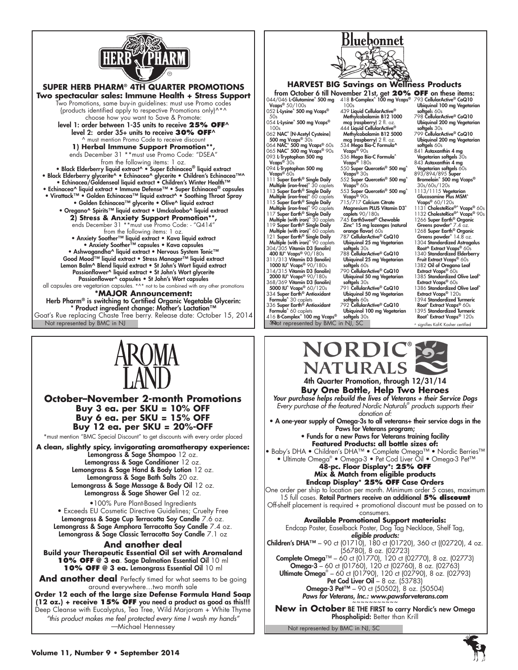

**SUPER HERB PHARM**® **4TH QUARTER PROMOTIONS Two spectacular sales: Immune Health + Stress Support** Two Promotions, same buy-in guidelines: must use Promo codes {products identified apply to respective Promotions only)^\*^ choose how you want to Save & Promote: level 1: order between 1-35 units to receive **25% OFF**^ level 2: order 35+ units to receive **30% OFF**^ ^ must mention Promo Code to receive discount **1) Herbal Immune Support Promotion\*\*,** ends December 31 \*\*must use Promo Code: "DSEA" from the following items: 1 oz. • Black Elderberry liquid extract^ • Super Echinacea® liquid extract • Black Elderberry glycerite^ • Echinacea^ glycerite • Children's Echinacea™^ • Echinacea/Goldenseal liquid extract • Children's Winter Health™ • Echinacea^ liquid extract • Immune Defense™ • Super Echinacea® capsules • Virattack™ • Golden Echinacea™ liquid extract^ • Soothing Throat Spray • Golden Echinacea™ glycerite • Olive^ liquid extract • Oregano^ Spirits™ liquid extract • Umckaloabo^ liquid extract **2) Stress & Anxiety Support Promotion\*\*,** ends December 31 \*\*must use Promo Code: - "Q414" from the following items: 1 oz.<br>• Anxiety Soother™ liquid extract • Kava liquid extract • Axivety Soother™ capsules • Kava capsules • Ashwagandha^ liquid extract • Nervous System Tonic™ Good Mood™ liquid extract • Stress Manager™ liquid extract Lemon Balm^ Blend liquid extract • St John's Wort liquid extract Passionflower^ liquid extract • St John's Wort glycerite Passionflower^ capsules • St John's Wort capsules all capsules are vegetarian capsules. \*^\* not to be combined with any other promotions **\*MAJOR Announcement:**

Not represented by BMC in NJ Not represented by BMC in NJ, SC Herb Pharm® is switching to Certified Organic Vegetable Glycerin: \* Product ingredient change: Mother's Lactation™ Goat's Rue replacing Chaste Tree berry. Release date: October 15, 2014



## **October–November 2-month Promotions Buy 3 ea. per SKU = 10% OFF Buy 6 ea. per SKU = 15% OFF Buy 12 ea. per SKU = 20%-OFF**

\*must mention "BMC Special Discount" to get discounts with every order placed

**A clean, slightly spicy, invigorating aromatherapy experience:** Lemongrass & Sage Shampoo 12 oz. Lemongrass & Sage Conditioner 12 oz. Lemongrass & Sage Hand & Body Lotion 12 oz. Lemongrass & Sage Bath Salts 20 oz. Lemongrass & Sage Massage & Body Oil 12 oz. Lemongrass & Sage Shower Gel 12 oz.

•100% Pure Plant-Based Ingredients • Exceeds EU Cosmetic Directive Guidelines; Cruelty Free Lemongrass & Sage Cup Terracotta Soy Candle 7.6 oz. Lemongrass & Sage Amphora Terracotta Soy Candle 7.4 oz. Lemongrass & Sage Classic Terracotta Soy Candle 7.1 oz

### **And another deal**

**Build your Therapeutic Essential Oil set with Aromaland 10% OFF @ 3 ea**. Sage Dalmation Essential Oil 10 ml **10% OFF @ 3 ea.** Lemongrass Essential Oil 10 ml

**And another deal** Perfectly timed for what seems to be going around everywhere…two month sale

**Order 12 each of the large size Defense Formula Hand Soap (12 oz.) + receive 15% OFF** you need a product as good as this!!! Deep Cleanse with Eucalyptus, Tea Tree, Wild Marjoram + White Thyme *"this product makes me feel protected every time I wash my hands" —*Michael Hennessey



50s 054 L-Lysine<sup>^</sup> 500 mg Vcaps®

100s 062 NAC^ [N-Acetyl Cysteine] 500 mg Vcaps® 30s 064 NAC^ 500 mg Vcaps® 60s 065 NAC^ 500 mg Vcaps® 90s 093 L-Tryptophan 500 mg Vcaps® 30s 094 L-Tryptophan 500 mg Vcaps<sup>®</sup> 60s 111 Super Earth® Single Daily<br>Multiple (iron-free)^ 30 caplets<br>113 Super Earth® Single Daily<br>Multiple (iron-free)^ 60 caplets 115 Super Earth® Single Daily Multiple (iron-free)^ 90 caplets

336 Super Earth® Antioxidant Formula^ 60 caplets

softgels 60s

792 CellularActive® CoQ10 Ubiquinol 100 mg Vegetarian softgels 30s

416 B-Complex^ 100 mg Vcaps®

Bromelain^ 500 mg Vcaps® Vcaps® 60/120s 1131 CholesteRice®^ Vcaps® 60s 1132 CholesteRice®^ Vcaps® 90s 1132 Chorosioners 1195 Greens powder^ 7.4 oz. 1268 Super Earth® Organic Greens powder^ 14.8 oz. 1304 Standardized Astragalus Root^ Extract Vcaps® 60s 1340 Standardized Elderberry Fruit Extract Vcaps® 60s 1382 Oil of Oregano Leaf 1385 Standardized Olive Leaf^

Root^ Extract Vcaps® 60s 1395 Standardized Turmeric Root^ Extract Vcaps® 120s

^ signifies Kof-K Kosher certified



Not represented by BMC in NJ, SC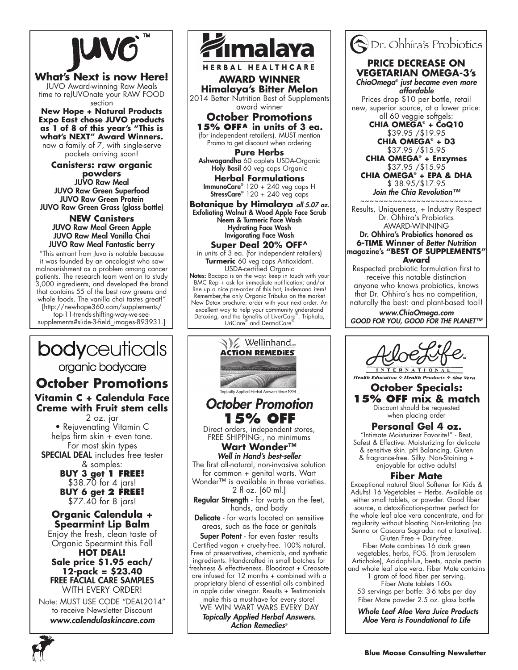

**What's Next is now Here!** JUVO Award-winning Raw Meals time to reJUVOnate your RAW FOOD section

**New Hope + Natural Products Expo East chose JUVO products as 1 of 8 of this year's "This is what's NEXT" Award Winners.** now a family of 7, with single-serve packets arriving soon!

**Canisters: raw organic powders** JUVO Raw Meal JUVO Raw Green Superfood JUVO Raw Green Protein JUVO Raw Green Grass (glass bottle)

**NEW Canisters** JUVO Raw Meal Green Apple JUVO Raw Meal Vanilla Chai JUVO Raw Meal Fantastic berry

"This entrant from Juvo is notable because it was founded by an oncologist who saw malnourishment as a problem among cancer patients. The research team went on to study 3,000 ingredients, and developed the brand that contains 55 of the best raw greens and whole foods. The vanilla chai tastes great!"

[http://newhope360.com/supplements/ top-11-trends-shifting-way-we-seesupplements#slide-3-field\_images-893931.]

# **body**ceuticals organic bodycare **October Promotions Vitamin C + Calendula Face Creme with Fruit stem cells** 2 oz. jar • Rejuvenating Vitamin C helps firm skin + even tone. For most skin types SPECIAL DEAL includes free tester & samples: **BUY 3 get 1 FREE!** \$38.70 for 4 jars! **BUY 6 get 2 FREE!**  \$77.40 for 8 jars! **Organic Calendula + Spearmint Lip Balm** Enjoy the fresh, clean taste of Organic Spearmint this Fall **HOT DEAL! Sale price \$1.95 each/ 12-pack = \$23.40** FREE FACIAL CARE SAMPLES WITH EVERY ORDER! Note: MUST USE CODE "DEAL2014"

to receive Newsletter Discount *www.calendulaskincare.com*



**HERBAL HEALTHCARE** 

## **AWARD WINNER Himalaya's Bitter Melon**

2014 Better Nutrition Best of Supplements award winner

**October Promotions 15% OFF^ in units of 3 ea.**  (for independent retailers). MUST mention Promo to get discount when ordering

**Pure Herbs** Ashwagandha 60 caplets USDA-Organic Holy Basil 60 veg caps Organic

**Herbal Formulations ImmunoCare®** 120 + 240 veg caps H StressCare<sup>®</sup> 120 + 240 veg caps

**Botanique by Himalaya** *all 5.07 oz.*Exfoliating Walnut & Wood Apple Face Scrub Neem & Turmeric Face Wash Hydrating Face Wash Invigorating Face Wash

**Super Deal 20% OFF^** in units of 3 ea. (for independent retailers) **Turmeric** 60 veg caps Antioxidant. USDA-certified Organic

Notes: Bacopa is on the way: keep in touch with your BMC Rep + ask for immediate notification: and/or line up a nice pre-order of this hot, in-demand item! Remember,the only Organic Tribulus on the market New Detox brochure: order with your next order. An excellent way to help your community understand Detoxing, and the benefits of LiverCare® , Triphala, UriCare® and DermaCare®



*Action Remedies*®



**PRICE DECREASE ON VEGETARIAN OMEGA-3's** *ChiaOmega® just became even more* 

*affordable* Prices drop \$10 per bottle, retail

new, superior source, at a lower price: all 60 veggie softgels: **CHIA OMEGA® + CoQ10**

\$39.95 /\$19.95 **CHIA OMEGA® + D3** 

\$37.95 /\$15.95 **CHIA OMEGA® + Enzymes**  \$37.95 /\$15.95

**CHIA OMEGA® + EPA & DHA** \$ 38.95/\$17.95 *Join the Chia Revolution™*

~~~~~~~~~~~~~~~~~~~~~~~~

Results, Uniqueness, + Industry Respect Dr. Ohhira's Probiotics AWARD-WINNING

### Dr. Ohhira's Probiotics honored as **6-TIME Winner** of *Better Nutrition*  magazine's **"BEST OF SUPPLEMENTS" Award**

Respected probiotic formulation first to receive this notable distinction anyone who knows probiotics, knows that Dr. Ohhira's has no competition, naturally the best: and plant-based too!!

*www.ChiaOmega.com GOOD FOR YOU, GOOD FOR THE PLANET™*



# **October Specials: 15% off mix & match** Discount should be requested

when placing order

# **Personal Gel 4 oz.**

"Intimate Moisturizer Favorite!" - Best, Safest & Effective. Moisturizing for delicate & sensitive skin. pH Balancing. Gluten & fragrance-free. Silky. Non-Staining + enjoyable for active adults!

## **Fiber Mate**

Exceptional natural Stool Softener for Kids & Adults! 16 Vegetables + Herbs. Available as either small tablets, or powder. Good fiber source, a detoxification-partner perfect for the whole leaf aloe vera concentrate, and for regularity without bloating Non-Irritating (no Senna or Cascara Sagrada: not a laxative).

Gluten Free + Dairy-free. Fiber Mate combines 16 dark green vegetables, herbs, FOS. (from Jerusalem Artichoke), Acidophilus, beets, apple pectin and whole leaf aloe vera. Fiber Mate contains

1 gram of food fiber per serving. Fiber Mate tablets 160s 53 servings per bottle: 3-6 tabs per day

Fiber Mate powder 2.5 oz. glass bottle

*Whole Leaf Aloe Vera Juice Products Aloe Vera is Foundational to Life*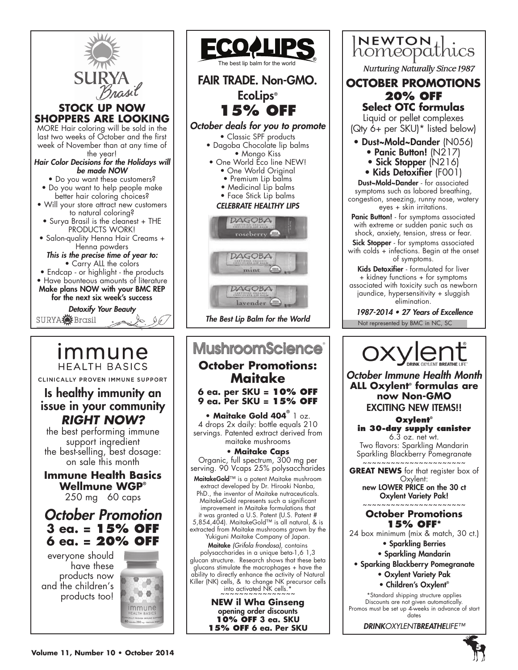

 everyone should have these products now and the children's products too!





# **MushroomScience**

# **October Promotions: Maitake 6 ea. per SKU = 10% OFF**

**9 ea. Per SKU = 15% OFF**

**• Maitake Gold 404®** 1 oz. 4 drops 2x daily: bottle equals 210 servings. Patented extract derived from maitake mushrooms

## **• Maitake Caps**

Organic, full spectrum, 300 mg per serving. 90 Vcaps 25% polysaccharides

MaitakeGold™ is a potent Maitake mushroom extract developed by Dr. Hiroaki Nanba, PhD., the inventor of Maitake nutraceuticals. MaitakeGold represents such a significant improvement in Maitake formulations that it was granted a U.S. Patent (U.S. Patent # 5,854,404). MaitakeGold™ is all natural, & is extracted from Maitake mushrooms grown by the Yukiguni Maitake Company of Japan.

Maitake *(Grifola frondosa)*, contains polysaccharides in a unique beta-1,6 1,3 glucan structure. Research shows that these beta glucans stimulate the macrophages + have the ability to directly enhance the activity of Natural Killer (NK) cells, & to change NK precursor cells into activated NK cells.\*<br>~~~~~~~~~~~~~~~~~

**NEW il Wha Ginseng** opening order discounts **10% OFF 3 ea. SKU 15% OFF 6 ea. Per SKU**





*October Immune Health Month*  **ALL Oxylent® formulas are now Non-GMO** EXCITING NEW ITEMS!!

**Oxylent® in 30-day supply canister** 6.3 oz. net wt. Two flavors: Sparkling Mandarin

Sparkling Blackberry Pomegranate ~~~~~~~~~~~~~~~~~~~~~~

**GREAT NEWS** for that register box of Oxylent: new LOWER PRICE on the 30 ct

Oxylent Variety Pak! ~~~~~~~~~~~~~~~~~~~~~~

## **October Promotions 15% OFF\***

24 box minimum (mix & match, 30 ct.)

- Sparkling Berries
- Sparkling Mandarin
- Sparking Blackberry Pomegranate
	- Oxylent Variety Pak
	- Children's Oxylent®

\*Standard shipping structure applies Discounts are not given automatically. Promos must be set up 4-weeks in advance of start dates

*DRINKOXYLENTBREATHELIFE™*

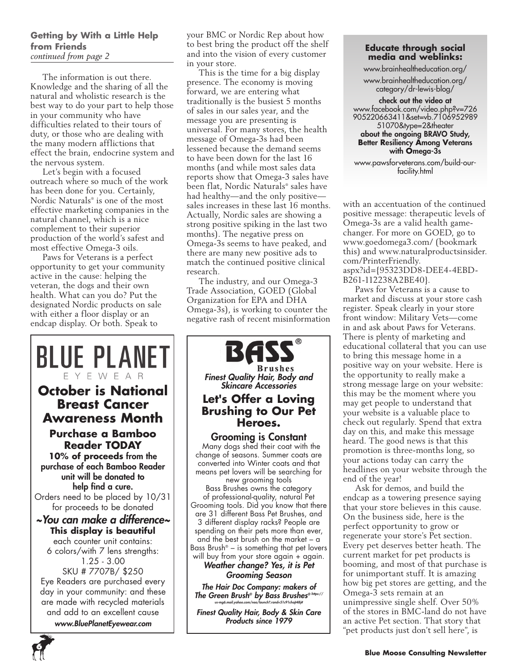## **Getting by With a Little Help from Friends** *continued from page 2*

The information is out there. Knowledge and the sharing of all the natural and wholistic research is the best way to do your part to help those in your community who have difficulties related to their tours of duty, or those who are dealing with the many modern afflictions that effect the brain, endocrine system and the nervous system.

Let's begin with a focused outreach where so much of the work has been done for you. Certainly, Nordic Naturals® is one of the most effective marketing companies in the natural channel, which is a nice complement to their superior production of the world's safest and most effective Omega-3 oils.

Paws for Veterans is a perfect opportunity to get your community active in the cause: helping the veteran, the dogs and their own health. What can you do? Put the designated Nordic products on sale with either a floor display or an endcap display. Or both. Speak to

# **BLUE PLANET** EYEWEAR **October is National Breast Cancer Awareness Month Purchase a Bamboo Reader TODAY 10% of proceeds** from the purchase of each Bamboo Reader unit will be donated to help find a cure. Orders need to be placed by 10/31 for proceeds to be donated *~You can make a difference~* **This display is beautiful** each counter unit contains: 6 colors/with 7 lens strengths: 1.25 - 3.00 SKU # 7707B/ \$250 Eye Readers are purchased every day in your community: and these are made with recycled materials and add to an excellent cause *www.BluePlanetEyewear.com*

your BMC or Nordic Rep about how to best bring the product off the shelf and into the vision of every customer in your store.

This is the time for a big display presence. The economy is moving forward, we are entering what traditionally is the busiest 5 months of sales in our sales year, and the message you are presenting is universal. For many stores, the health message of Omega-3s had been lessened because the demand seems to have been down for the last 16 months (and while most sales data reports show that Omega-3 sales have been flat, Nordic Naturals® sales have had healthy—and the only positive sales increases in these last 16 months. Actually, Nordic sales are showing a strong positive spiking in the last two months). The negative press on Omega-3s seems to have peaked, and there are many new positive ads to match the continued positive clinical research.

The industry, and our Omega-3 Trade Association, GOED (Global Organization for EPA and DHA Omega-3s), is working to counter the negative rash of recent misinformation



*Grooming Season*

*The Hair Doc Company: makers of The Green Brush® by Bass Brushes® https:// us-mg6.mail.yahoo.com/neo/launch?.rand=51c91chajt48j#*

*Finest Quality Hair, Body & Skin Care Products since 1979*

# **Educate through social media and weblinks:**

www.brainhealtheducation.org/

www.brainhealtheducation.org/ category/dr-lewis-blog/

### check out the video at www.facebook.com/video.php?v=726 905220663411&set=vb.7106952989 51070&type=2&theater about the ongoing BRAVO Study, **B**etter **R**esiliency **A**mong **V**eterans

with **O**mega-3s

www.pawsforveterans.com/build-ourfacility.html

with an accentuation of the continued positive message: therapeutic levels of Omega-3s are a valid health gamechanger. For more on GOED, go to www.goedomega3.com/ (bookmark this) and www.naturalproductsinsider. com/PrinterFriendly. aspx?id={95323DD8-DEE4-4EBD-B261-112238A2BE40}.

Paws for Veterans is a cause to market and discuss at your store cash register. Speak clearly in your store front window: Military Vets—come in and ask about Paws for Veterans. There is plenty of marketing and educational collateral that you can use to bring this message home in a positive way on your website. Here is the opportunity to really make a strong message large on your website: this may be the moment where you may get people to understand that your website is a valuable place to check out regularly. Spend that extra day on this, and make this message heard. The good news is that this promotion is three-months long, so your actions today can carry the headlines on your website through the end of the year!

Ask for demos, and build the endcap as a towering presence saying that your store believes in this cause. On the business side, here is the perfect opportunity to grow or regenerate your store's Pet section. Every pet deserves better heath. The current market for pet products is booming, and most of that purchase is for unimportant stuff. It is amazing how big pet stores are getting, and the Omega-3 sets remain at an unimpressive single shelf. Over 50% of the stores in BMC-land do not have an active Pet section. That story that "pet products just don't sell here", is

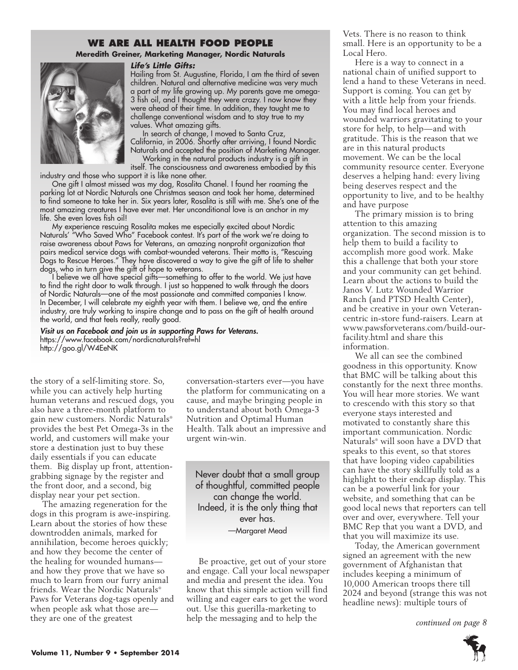# **We Are All Health Food People**

**Meredith Greiner, Marketing Manager, Nordic Naturals**



*Life's Little Gifts:*

Hailing from St. Augustine, Florida, I am the third of seven children. Natural and alternative medicine was very much a part of my life growing up. My parents gave me omega-3 fish oil, and I thought they were crazy. I now know they were ahead of their time. In addition, they taught me to challenge conventional wisdom and to stay true to my values. What amazing gifts.

In search of change, I moved to Santa Cruz, California, in 2006. Shortly after arriving, I found Nordic Naturals and accepted the position of Marketing Manager. Working in the natural products industry is a gift in

itself. The consciousness and awareness embodied by this industry and those who support it is like none other.

One gift I almost missed was my dog, Rosalita Chanel. I found her roaming the parking lot at Nordic Naturals one Christmas season and took her home, determined to find someone to take her in. Six years later, Rosalita is still with me. She's one of the most amazing creatures I have ever met. Her unconditional love is an anchor in my life. She even loves fish oil!

My experience rescuing Rosalita makes me especially excited about Nordic Naturals' "Who Saved Who" Facebook contest. It's part of the work we're doing to raise awareness about Paws for Veterans, an amazing nonprofit organization that pairs medical service dogs with combat-wounded veterans. Their motto is, "Rescuing Dogs to Rescue Heroes." They have discovered a way to give the gift of life to shelter dogs, who in turn give the gift of hope to veterans.

I believe we all have special gifts—something to offer to the world. We just have to find the right door to walk through. I just so happened to walk through the doors of Nordic Naturals—one of the most passionate and committed companies I know. In December, I will celebrate my eighth year with them. I believe we, and the entire industry, are truly working to inspire change and to pass on the gift of health around the world, and that feels really, really good.

*Visit us on Facebook and join us in supporting Paws for Veterans.*  https://www.facebook.com/nordicnaturals?ref=hl http://goo.gl/W4EeNK

the story of a self-limiting store. So, while you can actively help hurting human veterans and rescued dogs, you also have a three-month platform to gain new customers. Nordic Naturals® provides the best Pet Omega-3s in the world, and customers will make your store a destination just to buy these daily essentials if you can educate them. Big display up front, attentiongrabbing signage by the register and the front door, and a second, big display near your pet section.

The amazing regeneration for the dogs in this program is awe-inspiring. Learn about the stories of how these downtrodden animals, marked for annihilation, become heroes quickly; and how they become the center of the healing for wounded humans and how they prove that we have so much to learn from our furry animal friends. Wear the Nordic Naturals® Paws for Veterans dog-tags openly and when people ask what those are they are one of the greatest

conversation-starters ever—you have the platform for communicating on a cause, and maybe bringing people in to understand about both Omega-3 Nutrition and Optimal Human Health. Talk about an impressive and urgent win-win.

Never doubt that a small group of thoughtful, committed people can change the world. Indeed, it is the only thing that ever has. —Margaret Mead

Be proactive, get out of your store and engage. Call your local newspaper and media and present the idea. You know that this simple action will find willing and eager ears to get the word out. Use this guerilla-marketing to help the messaging and to help the

Vets. There is no reason to think small. Here is an opportunity to be a Local Hero.

Here is a way to connect in a national chain of unified support to lend a hand to these Veterans in need. Support is coming. You can get by with a little help from your friends. You may find local heroes and wounded warriors gravitating to your store for help, to help—and with gratitude. This is the reason that we are in this natural products movement. We can be the local community resource center. Everyone deserves a helping hand: every living being deserves respect and the opportunity to live, and to be healthy and have purpose

The primary mission is to bring attention to this amazing organization. The second mission is to help them to build a facility to accomplish more good work. Make this a challenge that both your store and your community can get behind. Learn about the actions to build the Janos V. Lutz Wounded Warrior Ranch (and PTSD Health Center), and be creative in your own Veterancentric in-store fund-raisers. Learn at www.pawsforveterans.com/build-ourfacility.html and share this information.

We all can see the combined goodness in this opportunity. Know that BMC will be talking about this constantly for the next three months. You will hear more stories. We want to crescendo with this story so that everyone stays interested and motivated to constantly share this important communication. Nordic Naturals® will soon have a DVD that speaks to this event, so that stores that have looping video capabilities can have the story skillfully told as a highlight to their endcap display. This can be a powerful link for your website, and something that can be good local news that reporters can tell over and over, everywhere. Tell your BMC Rep that you want a DVD, and that you will maximize its use.

Today, the American government signed an agreement with the new government of Afghanistan that includes keeping a minimum of 10,000 American troops there till 2024 and beyond (strange this was not headline news): multiple tours of

*continued on page 8*